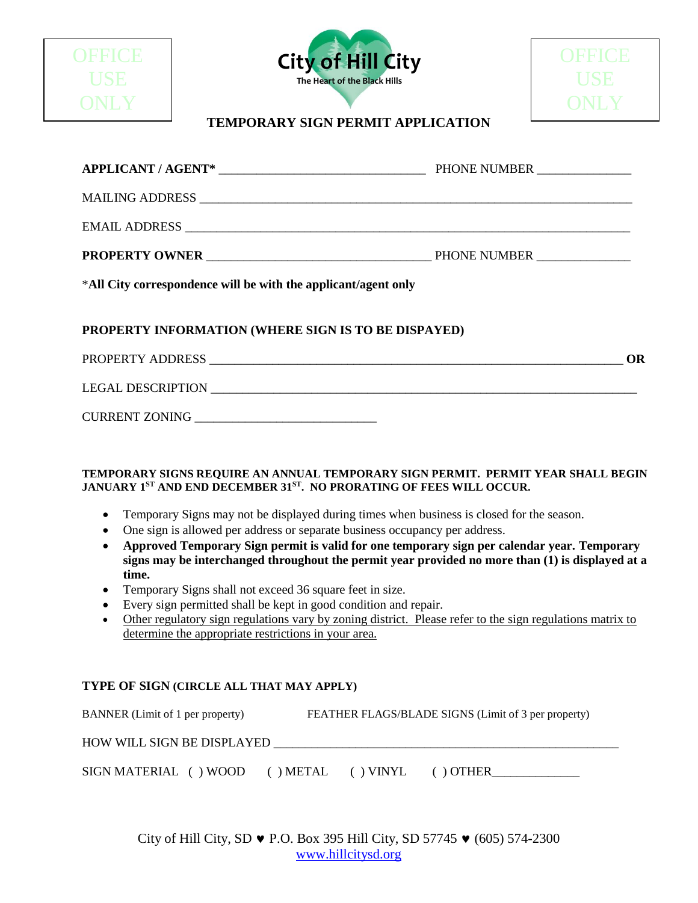

| PROPERTY ADDRESS         |  |
|--------------------------|--|
| <b>LEGAL DESCRIPTION</b> |  |

| <b>CURRENT ZONING</b> |  |
|-----------------------|--|
|-----------------------|--|

### **TEMPORARY SIGNS REQUIRE AN ANNUAL TEMPORARY SIGN PERMIT. PERMIT YEAR SHALL BEGIN JANUARY 1ST AND END DECEMBER 31ST. NO PRORATING OF FEES WILL OCCUR.**

- Temporary Signs may not be displayed during times when business is closed for the season.
- One sign is allowed per address or separate business occupancy per address.
- **Approved Temporary Sign permit is valid for one temporary sign per calendar year. Temporary signs may be interchanged throughout the permit year provided no more than (1) is displayed at a time.**
- Temporary Signs shall not exceed 36 square feet in size.
- Every sign permitted shall be kept in good condition and repair.
- Other regulatory sign regulations vary by zoning district. Please refer to the sign regulations matrix to determine the appropriate restrictions in your area.

### **TYPE OF SIGN (CIRCLE ALL THAT MAY APPLY)**

| BANNER (Limit of 1 per property)  | FEATHER FLAGS/BLADE SIGNS (Limit of 3 per property) |         |
|-----------------------------------|-----------------------------------------------------|---------|
| <b>HOW WILL SIGN BE DISPLAYED</b> |                                                     |         |
| SIGN MATERIAL () WOOD             | ) METAL<br>$( )$ VINYL                              | ) OTHER |

City of Hill City, SD  $\bullet$  P.O. Box 395 Hill City, SD 57745  $\bullet$  (605) 574-2300 [www.hillcitysd.org](http://www.hillcitysd.org/)